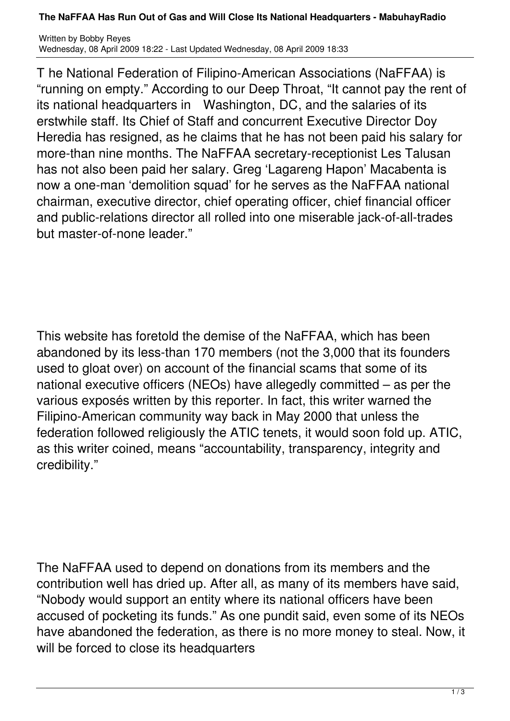## **The NaFFAA Has Run Out of Gas and Will Close Its National Headquarters - MabuhayRadio**

Written by Bobby Reyes Wednesday, 08 April 2009 18:22 - Last Updated Wednesday, 08 April 2009 18:33

T he National Federation of Filipino-American Associations (NaFFAA) is "running on empty." According to our Deep Throat, "It cannot pay the rent of its national headquarters in Washington, DC, and the salaries of its erstwhile staff. Its Chief of Staff and concurrent Executive Director Doy Heredia has resigned, as he claims that he has not been paid his salary for more-than nine months. The NaFFAA secretary-receptionist Les Talusan has not also been paid her salary. Greg 'Lagareng Hapon' Macabenta is now a one-man 'demolition squad' for he serves as the NaFFAA national chairman, executive director, chief operating officer, chief financial officer and public-relations director all rolled into one miserable jack-of-all-trades but master-of-none leader."

This website has foretold the demise of the NaFFAA, which has been abandoned by its less-than 170 members (not the 3,000 that its founders used to gloat over) on account of the financial scams that some of its national executive officers (NEOs) have allegedly committed – as per the various exposés written by this reporter. In fact, this writer warned the Filipino-American community way back in May 2000 that unless the federation followed religiously the ATIC tenets, it would soon fold up. ATIC, as this writer coined, means "accountability, transparency, integrity and credibility."

The NaFFAA used to depend on donations from its members and the contribution well has dried up. After all, as many of its members have said, "Nobody would support an entity where its national officers have been accused of pocketing its funds." As one pundit said, even some of its NEOs have abandoned the federation, as there is no more money to steal. Now, it will be forced to close its headquarters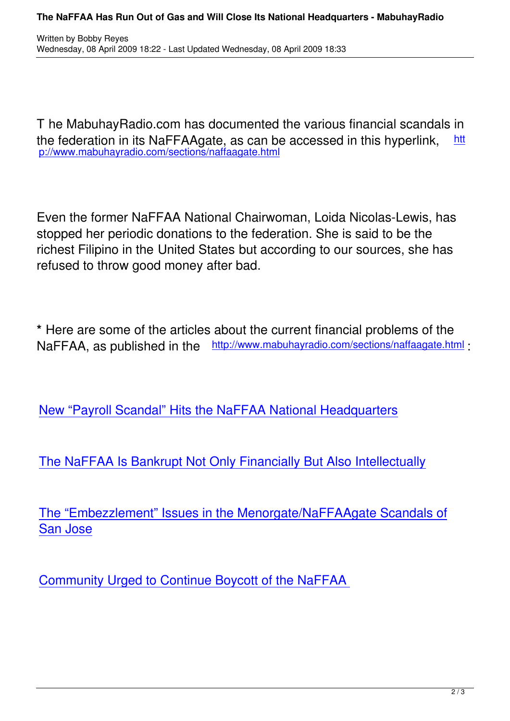T he MabuhayRadio.com has documented the various financial scandals in the federation in its NaFFAAgate, as can be accessed in this hyperlink, htt p://www.mabuhayradio.com/sections/naffaagate.html

Even the former NaFFAA National Chairwoman, Loida Nicolas-Lewis, has stopped her periodic donations to the federation. She is said to be the richest Filipino in the United States but according to our sources, she has refused to throw good money after bad.

**\*** Here are some of the articles about the current financial problems of the NaFFAA, as published in the http://www.mabuhayradio.com/sections/naffaagate.html:

New "Payroll Scandal" Hits the NaFFAA National Headquarters

[The NaFFAA Is Bankrupt Not Only Financially But Also Intellect](sections/naffaagate/3292-new-payroll-scandal-hits-the-naffaa-national-headquarters.html)ually

[The "Embezzlement" Issues in the Menorgate/NaFFAAgate Scandal](sections/naffaagate/694-the-naffaa-is-bankrupt-not-only-financially-but-also-intellectually.html)s of San Jose

[Communi](sections/naffaagate/2855-the-embezzlement-issues-in-the-menorgatenaffaagate-scandals-of-san-jose.html)ty Urged to Continue Boycott of the NaFFAA